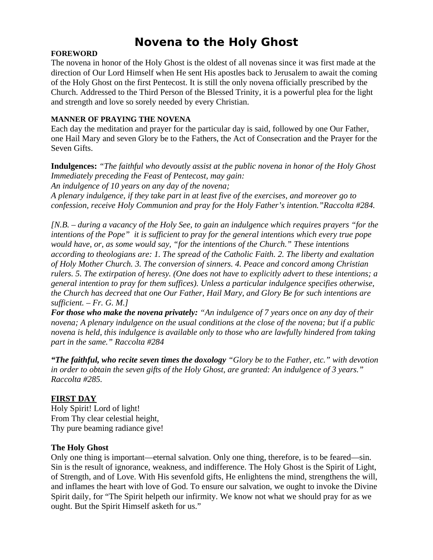# **Novena to the Holy Ghost**

#### **FOREWORD**

The novena in honor of the Holy Ghost is the oldest of all novenas since it was first made at the direction of Our Lord Himself when He sent His apostles back to Jerusalem to await the coming of the Holy Ghost on the first Pentecost. It is still the only novena officially prescribed by the Church. Addressed to the Third Person of the Blessed Trinity, it is a powerful plea for the light and strength and love so sorely needed by every Christian.

#### **MANNER OF PRAYING THE NOVENA**

Each day the meditation and prayer for the particular day is said, followed by one Our Father, one Hail Mary and seven Glory be to the Fathers, the Act of Consecration and the Prayer for the Seven Gifts.

**Indulgences:** *"The faithful who devoutly assist at the public novena in honor of the Holy Ghost Immediately preceding the Feast of Pentecost, may gain:*

*An indulgence of 10 years on any day of the novena; A plenary indulgence, if they take part in at least five of the exercises, and moreover go to* 

*confession, receive Holy Communion and pray for the Holy Father's intention."Raccolta #284.*

*[N.B. – during a vacancy of the Holy See, to gain an indulgence which requires prayers "for the intentions of the Pope" it is sufficient to pray for the general intentions which every true pope would have, or, as some would say, "for the intentions of the Church." These intentions according to theologians are: 1. The spread of the Catholic Faith. 2. The liberty and exaltation of Holy Mother Church. 3. The conversion of sinners. 4. Peace and concord among Christian rulers. 5. The extirpation of heresy. (One does not have to explicitly advert to these intentions; a general intention to pray for them suffices). Unless a particular indulgence specifies otherwise, the Church has decreed that one Our Father, Hail Mary, and Glory Be for such intentions are sufficient. – Fr. G. M.]*

*For those who make the novena privately: "An indulgence of 7 years once on any day of their novena; A plenary indulgence on the usual conditions at the close of the novena; but if a public novena is held, this indulgence is available only to those who are lawfully hindered from taking part in the same." Raccolta #284*

*"The faithful, who recite seven times the doxology "Glory be to the Father, etc." with devotion in order to obtain the seven gifts of the Holy Ghost, are granted: An indulgence of 3 years." Raccolta #285.*

## **FIRST DAY**

Holy Spirit! Lord of light! From Thy clear celestial height, Thy pure beaming radiance give!

#### **The Holy Ghost**

Only one thing is important—eternal salvation. Only one thing, therefore, is to be feared—sin. Sin is the result of ignorance, weakness, and indifference. The Holy Ghost is the Spirit of Light, of Strength, and of Love. With His sevenfold gifts, He enlightens the mind, strengthens the will, and inflames the heart with love of God. To ensure our salvation, we ought to invoke the Divine Spirit daily, for "The Spirit helpeth our infirmity. We know not what we should pray for as we ought. But the Spirit Himself asketh for us."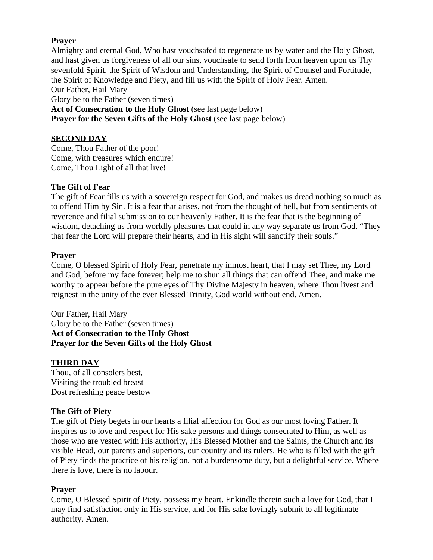## **Prayer**

Almighty and eternal God, Who hast vouchsafed to regenerate us by water and the Holy Ghost, and hast given us forgiveness of all our sins, vouchsafe to send forth from heaven upon us Thy sevenfold Spirit, the Spirit of Wisdom and Understanding, the Spirit of Counsel and Fortitude, the Spirit of Knowledge and Piety, and fill us with the Spirit of Holy Fear. Amen. Our Father, Hail Mary

Glory be to the Father (seven times)

**Act of Consecration to the Holy Ghost** (see last page below) **Prayer for the Seven Gifts of the Holy Ghost** (see last page below)

## **SECOND DAY**

Come, Thou Father of the poor! Come, with treasures which endure! Come, Thou Light of all that live!

## **The Gift of Fear**

The gift of Fear fills us with a sovereign respect for God, and makes us dread nothing so much as to offend Him by Sin. It is a fear that arises, not from the thought of hell, but from sentiments of reverence and filial submission to our heavenly Father. It is the fear that is the beginning of wisdom, detaching us from worldly pleasures that could in any way separate us from God. "They that fear the Lord will prepare their hearts, and in His sight will sanctify their souls."

#### **Prayer**

Come, O blessed Spirit of Holy Fear, penetrate my inmost heart, that I may set Thee, my Lord and God, before my face forever; help me to shun all things that can offend Thee, and make me worthy to appear before the pure eyes of Thy Divine Majesty in heaven, where Thou livest and reignest in the unity of the ever Blessed Trinity, God world without end. Amen.

Our Father, Hail Mary Glory be to the Father (seven times) **Act of Consecration to the Holy Ghost Prayer for the Seven Gifts of the Holy Ghost**

## **THIRD DAY**

Thou, of all consolers best, Visiting the troubled breast Dost refreshing peace bestow

## **The Gift of Piety**

The gift of Piety begets in our hearts a filial affection for God as our most loving Father. It inspires us to love and respect for His sake persons and things consecrated to Him, as well as those who are vested with His authority, His Blessed Mother and the Saints, the Church and its visible Head, our parents and superiors, our country and its rulers. He who is filled with the gift of Piety finds the practice of his religion, not a burdensome duty, but a delightful service. Where there is love, there is no labour.

## **Prayer**

Come, O Blessed Spirit of Piety, possess my heart. Enkindle therein such a love for God, that I may find satisfaction only in His service, and for His sake lovingly submit to all legitimate authority. Amen.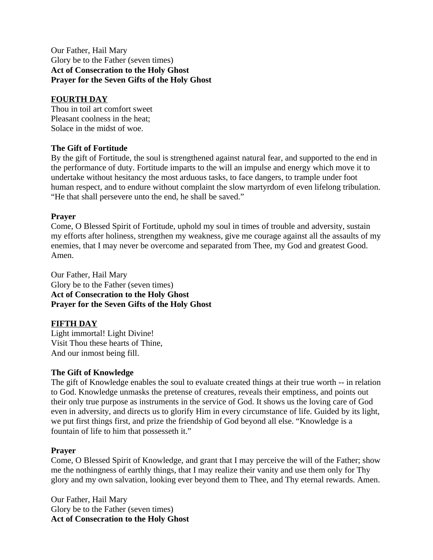Our Father, Hail Mary Glory be to the Father (seven times) **Act of Consecration to the Holy Ghost Prayer for the Seven Gifts of the Holy Ghost**

#### **FOURTH DAY**

Thou in toil art comfort sweet Pleasant coolness in the heat; Solace in the midst of woe.

#### **The Gift of Fortitude**

By the gift of Fortitude, the soul is strengthened against natural fear, and supported to the end in the performance of duty. Fortitude imparts to the will an impulse and energy which move it to undertake without hesitancy the most arduous tasks, to face dangers, to trample under foot human respect, and to endure without complaint the slow martyrdom of even lifelong tribulation. "He that shall persevere unto the end, he shall be saved."

#### **Prayer**

Come, O Blessed Spirit of Fortitude, uphold my soul in times of trouble and adversity, sustain my efforts after holiness, strengthen my weakness, give me courage against all the assaults of my enemies, that I may never be overcome and separated from Thee, my God and greatest Good. Amen.

Our Father, Hail Mary Glory be to the Father (seven times) **Act of Consecration to the Holy Ghost Prayer for the Seven Gifts of the Holy Ghost**

## **FIFTH DAY**

Light immortal! Light Divine! Visit Thou these hearts of Thine, And our inmost being fill.

#### **The Gift of Knowledge**

The gift of Knowledge enables the soul to evaluate created things at their true worth -- in relation to God. Knowledge unmasks the pretense of creatures, reveals their emptiness, and points out their only true purpose as instruments in the service of God. It shows us the loving care of God even in adversity, and directs us to glorify Him in every circumstance of life. Guided by its light, we put first things first, and prize the friendship of God beyond all else. "Knowledge is a fountain of life to him that possesseth it."

#### **Prayer**

Come, O Blessed Spirit of Knowledge, and grant that I may perceive the will of the Father; show me the nothingness of earthly things, that I may realize their vanity and use them only for Thy glory and my own salvation, looking ever beyond them to Thee, and Thy eternal rewards. Amen.

Our Father, Hail Mary Glory be to the Father (seven times) **Act of Consecration to the Holy Ghost**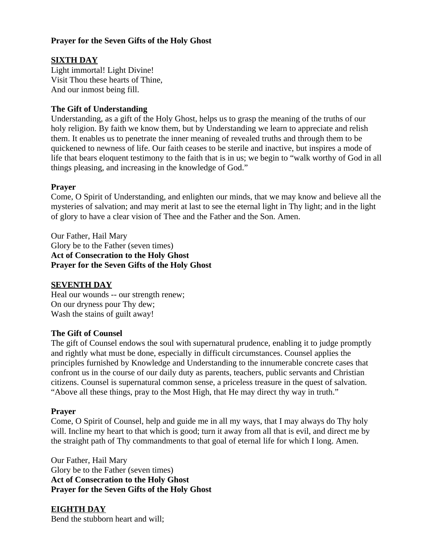## **Prayer for the Seven Gifts of the Holy Ghost**

## **SIXTH DAY**

Light immortal! Light Divine! Visit Thou these hearts of Thine, And our inmost being fill.

## **The Gift of Understanding**

Understanding, as a gift of the Holy Ghost, helps us to grasp the meaning of the truths of our holy religion. By faith we know them, but by Understanding we learn to appreciate and relish them. It enables us to penetrate the inner meaning of revealed truths and through them to be quickened to newness of life. Our faith ceases to be sterile and inactive, but inspires a mode of life that bears eloquent testimony to the faith that is in us; we begin to "walk worthy of God in all things pleasing, and increasing in the knowledge of God."

#### **Prayer**

Come, O Spirit of Understanding, and enlighten our minds, that we may know and believe all the mysteries of salvation; and may merit at last to see the eternal light in Thy light; and in the light of glory to have a clear vision of Thee and the Father and the Son. Amen.

Our Father, Hail Mary Glory be to the Father (seven times) **Act of Consecration to the Holy Ghost Prayer for the Seven Gifts of the Holy Ghost**

### **SEVENTH DAY**

Heal our wounds -- our strength renew; On our dryness pour Thy dew; Wash the stains of guilt away!

#### **The Gift of Counsel**

The gift of Counsel endows the soul with supernatural prudence, enabling it to judge promptly and rightly what must be done, especially in difficult circumstances. Counsel applies the principles furnished by Knowledge and Understanding to the innumerable concrete cases that confront us in the course of our daily duty as parents, teachers, public servants and Christian citizens. Counsel is supernatural common sense, a priceless treasure in the quest of salvation. "Above all these things, pray to the Most High, that He may direct thy way in truth."

#### **Prayer**

Come, O Spirit of Counsel, help and guide me in all my ways, that I may always do Thy holy will. Incline my heart to that which is good; turn it away from all that is evil, and direct me by the straight path of Thy commandments to that goal of eternal life for which I long. Amen.

Our Father, Hail Mary Glory be to the Father (seven times) **Act of Consecration to the Holy Ghost Prayer for the Seven Gifts of the Holy Ghost**

**EIGHTH DAY** Bend the stubborn heart and will;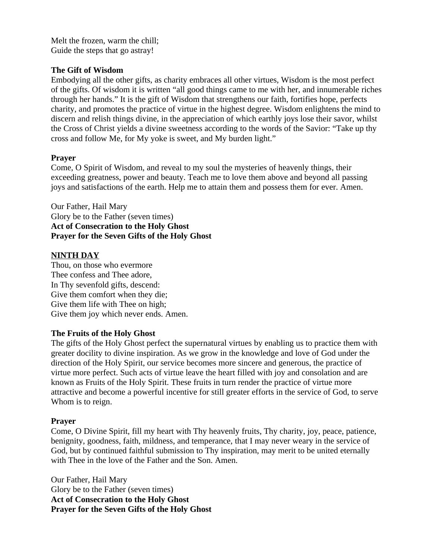Melt the frozen, warm the chill; Guide the steps that go astray!

#### **The Gift of Wisdom**

Embodying all the other gifts, as charity embraces all other virtues, Wisdom is the most perfect of the gifts. Of wisdom it is written "all good things came to me with her, and innumerable riches through her hands." It is the gift of Wisdom that strengthens our faith, fortifies hope, perfects charity, and promotes the practice of virtue in the highest degree. Wisdom enlightens the mind to discern and relish things divine, in the appreciation of which earthly joys lose their savor, whilst the Cross of Christ yields a divine sweetness according to the words of the Savior: "Take up thy cross and follow Me, for My yoke is sweet, and My burden light."

#### **Prayer**

Come, O Spirit of Wisdom, and reveal to my soul the mysteries of heavenly things, their exceeding greatness, power and beauty. Teach me to love them above and beyond all passing joys and satisfactions of the earth. Help me to attain them and possess them for ever. Amen.

Our Father, Hail Mary Glory be to the Father (seven times) **Act of Consecration to the Holy Ghost Prayer for the Seven Gifts of the Holy Ghost**

## **NINTH DAY**

Thou, on those who evermore Thee confess and Thee adore, In Thy sevenfold gifts, descend: Give them comfort when they die; Give them life with Thee on high; Give them joy which never ends. Amen.

#### **The Fruits of the Holy Ghost**

The gifts of the Holy Ghost perfect the supernatural virtues by enabling us to practice them with greater docility to divine inspiration. As we grow in the knowledge and love of God under the direction of the Holy Spirit, our service becomes more sincere and generous, the practice of virtue more perfect. Such acts of virtue leave the heart filled with joy and consolation and are known as Fruits of the Holy Spirit. These fruits in turn render the practice of virtue more attractive and become a powerful incentive for still greater efforts in the service of God, to serve Whom is to reign.

#### **Prayer**

Come, O Divine Spirit, fill my heart with Thy heavenly fruits, Thy charity, joy, peace, patience, benignity, goodness, faith, mildness, and temperance, that I may never weary in the service of God, but by continued faithful submission to Thy inspiration, may merit to be united eternally with Thee in the love of the Father and the Son. Amen.

Our Father, Hail Mary Glory be to the Father (seven times) **Act of Consecration to the Holy Ghost Prayer for the Seven Gifts of the Holy Ghost**